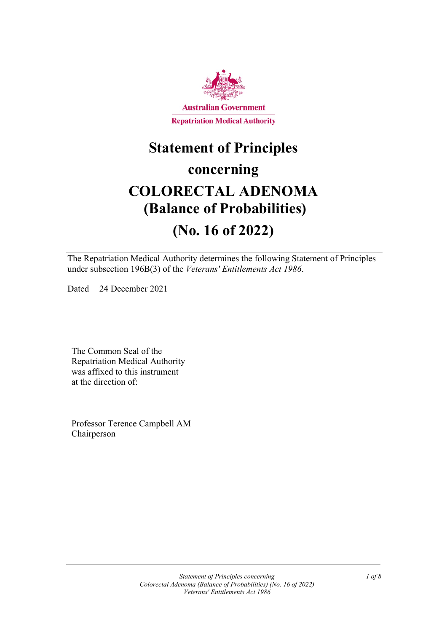

# **Statement of Principles**

# **concerning**

# **COLORECTAL ADENOMA (Balance of Probabilities)**

# **(No. 16 of 2022)**

The Repatriation Medical Authority determines the following Statement of Principles under subsection 196B(3) of the *Veterans' Entitlements Act 1986*.

Dated 24 December 2021

The Common Seal of the Repatriation Medical Authority was affixed to this instrument at the direction of:

Professor Terence Campbell AM Chairperson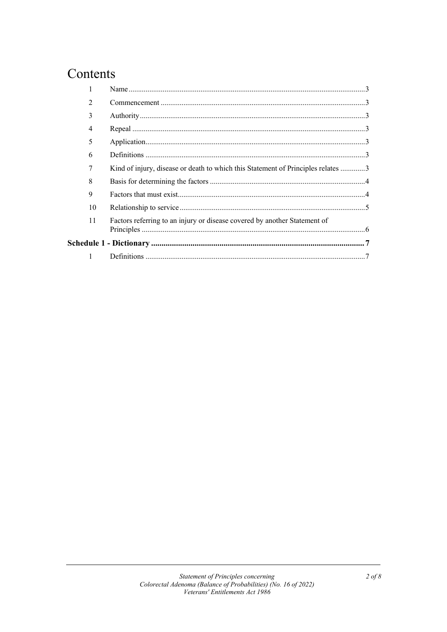# Contents

|  | $\mathfrak{D}$ |                                                                                  |  |
|--|----------------|----------------------------------------------------------------------------------|--|
|  | 3              |                                                                                  |  |
|  | 4              |                                                                                  |  |
|  | 5              |                                                                                  |  |
|  | 6              |                                                                                  |  |
|  | 7              | Kind of injury, disease or death to which this Statement of Principles relates 3 |  |
|  | 8              |                                                                                  |  |
|  | 9              |                                                                                  |  |
|  | 10             |                                                                                  |  |
|  | 11             | Factors referring to an injury or disease covered by another Statement of        |  |
|  |                |                                                                                  |  |
|  | $\mathbf{1}$   |                                                                                  |  |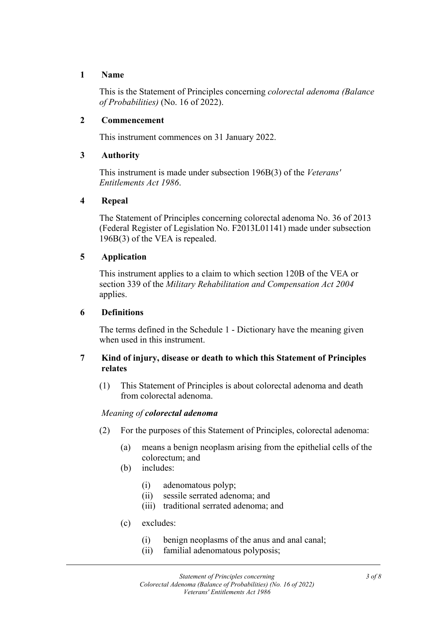## **1 Name**

This is the Statement of Principles concerning *colorectal adenoma (Balance of Probabilities)* (No. 16 of 2022).

# **2 Commencement**

This instrument commences on 31 January 2022.

# **3 Authority**

This instrument is made under subsection 196B(3) of the *Veterans' Entitlements Act 1986*.

## **4 Repeal**

The Statement of Principles concerning colorectal adenoma No. 36 of 2013 (Federal Register of Legislation No. F2013L01141) made under subsection 196B(3) of the VEA is repealed.

## **5 Application**

This instrument applies to a claim to which section 120B of the VEA or section 339 of the *Military Rehabilitation and Compensation Act 2004* applies.

## **6 Definitions**

The terms defined in the Schedule 1 - Dictionary have the meaning given when used in this instrument.

## **7 Kind of injury, disease or death to which this Statement of Principles relates**

(1) This Statement of Principles is about colorectal adenoma and death from colorectal adenoma.

# *Meaning of colorectal adenoma*

- (2) For the purposes of this Statement of Principles, colorectal adenoma:
	- (a) means a benign neoplasm arising from the epithelial cells of the colorectum; and
	- (b) includes:
		- (i) adenomatous polyp;
		- (ii) sessile serrated adenoma; and
		- (iii) traditional serrated adenoma; and
	- (c) excludes:
		- (i) benign neoplasms of the anus and anal canal;
		- (ii) familial adenomatous polyposis;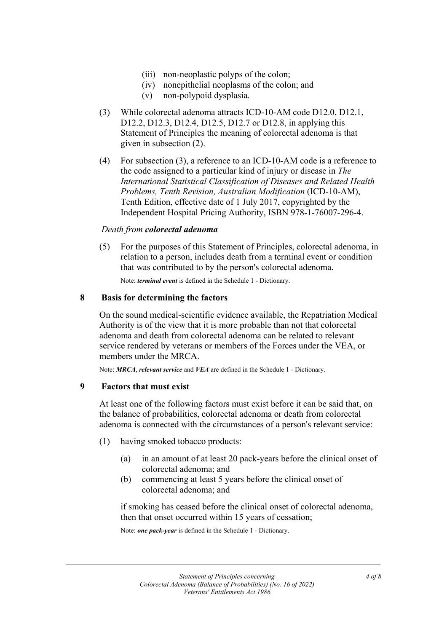- (iii) non-neoplastic polyps of the colon;
- (iv) nonepithelial neoplasms of the colon; and
- (v) non-polypoid dysplasia.
- (3) While colorectal adenoma attracts ICD-10-AM code D12.0, D12.1, D12.2, D12.3, D12.4, D12.5, D12.7 or D12.8, in applying this Statement of Principles the meaning of colorectal adenoma is that given in subsection (2).
- (4) For subsection (3), a reference to an ICD-10-AM code is a reference to the code assigned to a particular kind of injury or disease in *The International Statistical Classification of Diseases and Related Health Problems, Tenth Revision, Australian Modification* (ICD-10-AM), Tenth Edition, effective date of 1 July 2017, copyrighted by the Independent Hospital Pricing Authority, ISBN 978-1-76007-296-4.

#### *Death from colorectal adenoma*

(5) For the purposes of this Statement of Principles, colorectal adenoma, in relation to a person, includes death from a terminal event or condition that was contributed to by the person's colorectal adenoma.

Note: *terminal event* is defined in the Schedule 1 - Dictionary.

#### **8 Basis for determining the factors**

On the sound medical-scientific evidence available, the Repatriation Medical Authority is of the view that it is more probable than not that colorectal adenoma and death from colorectal adenoma can be related to relevant service rendered by veterans or members of the Forces under the VEA, or members under the MRCA.

Note: *MRCA*, *relevant service* and *VEA* are defined in the Schedule 1 - Dictionary.

#### **9 Factors that must exist**

At least one of the following factors must exist before it can be said that, on the balance of probabilities, colorectal adenoma or death from colorectal adenoma is connected with the circumstances of a person's relevant service:

- (1) having smoked tobacco products:
	- (a) in an amount of at least 20 pack-years before the clinical onset of colorectal adenoma; and
	- (b) commencing at least 5 years before the clinical onset of colorectal adenoma; and

if smoking has ceased before the clinical onset of colorectal adenoma, then that onset occurred within 15 years of cessation;

Note: *one pack-year* is defined in the Schedule 1 - Dictionary.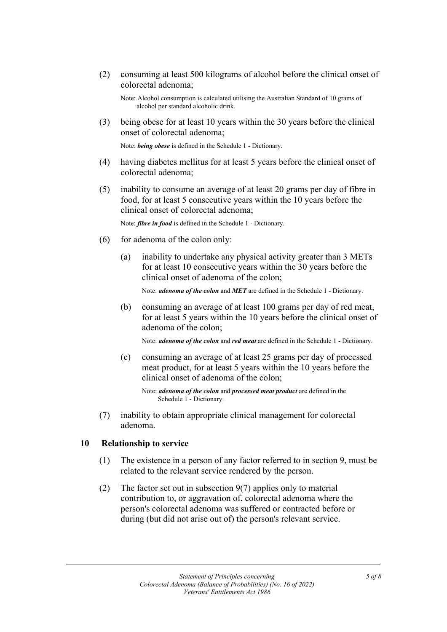(2) consuming at least 500 kilograms of alcohol before the clinical onset of colorectal adenoma;

Note: Alcohol consumption is calculated utilising the Australian Standard of 10 grams of alcohol per standard alcoholic drink.

(3) being obese for at least 10 years within the 30 years before the clinical onset of colorectal adenoma;

Note: *being obese* is defined in the Schedule 1 - Dictionary.

- (4) having diabetes mellitus for at least 5 years before the clinical onset of colorectal adenoma;
- (5) inability to consume an average of at least 20 grams per day of fibre in food, for at least 5 consecutive years within the 10 years before the clinical onset of colorectal adenoma;

Note: *fibre in food* is defined in the Schedule 1 - Dictionary.

- (6) for adenoma of the colon only:
	- (a) inability to undertake any physical activity greater than 3 METs for at least 10 consecutive years within the 30 years before the clinical onset of adenoma of the colon;

Note: *adenoma of the colon* and *MET* are defined in the Schedule 1 - Dictionary.

(b) consuming an average of at least 100 grams per day of red meat, for at least 5 years within the 10 years before the clinical onset of adenoma of the colon;

Note: *adenoma of the colon* and *red meat* are defined in the Schedule 1 - Dictionary.

(c) consuming an average of at least 25 grams per day of processed meat product, for at least 5 years within the 10 years before the clinical onset of adenoma of the colon;

Note: *adenoma of the colon* and *processed meat product* are defined in the Schedule 1 - Dictionary.

(7) inability to obtain appropriate clinical management for colorectal adenoma.

### **10 Relationship to service**

- (1) The existence in a person of any factor referred to in section 9, must be related to the relevant service rendered by the person.
- (2) The factor set out in subsection 9(7) applies only to material contribution to, or aggravation of, colorectal adenoma where the person's colorectal adenoma was suffered or contracted before or during (but did not arise out of) the person's relevant service.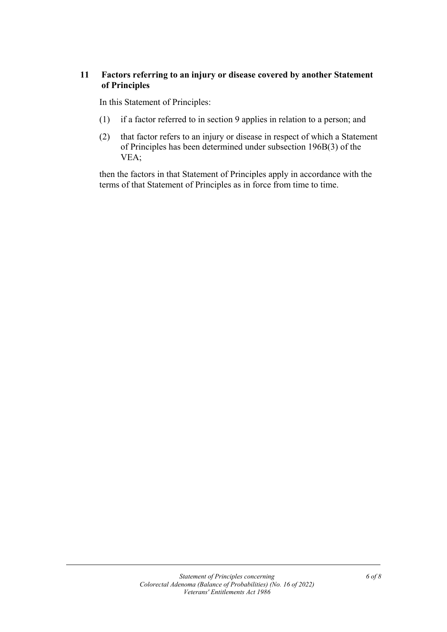# **11 Factors referring to an injury or disease covered by another Statement of Principles**

In this Statement of Principles:

- (1) if a factor referred to in section 9 applies in relation to a person; and
- (2) that factor refers to an injury or disease in respect of which a Statement of Principles has been determined under subsection 196B(3) of the VEA;

then the factors in that Statement of Principles apply in accordance with the terms of that Statement of Principles as in force from time to time.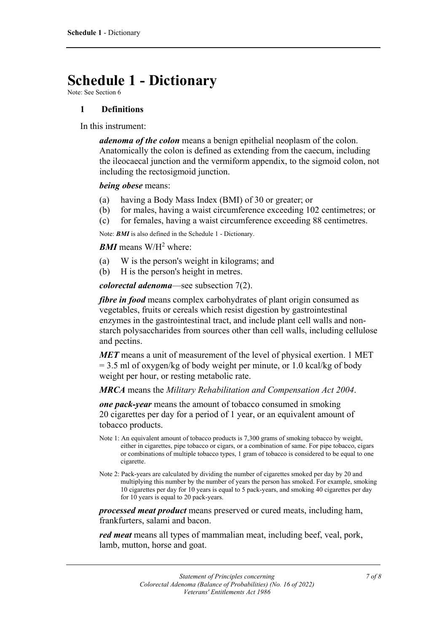# **Schedule 1 - Dictionary**

Note: See Section 6

### **1 Definitions**

In this instrument:

*adenoma of the colon* means a benign epithelial neoplasm of the colon. Anatomically the colon is defined as extending from the caecum, including the ileocaecal junction and the vermiform appendix, to the sigmoid colon, not including the rectosigmoid junction.

### *being obese* means:

- (a) having a Body Mass Index (BMI) of 30 or greater; or
- (b) for males, having a waist circumference exceeding 102 centimetres; or
- (c) for females, having a waist circumference exceeding 88 centimetres.

Note: *BMI* is also defined in the Schedule 1 - Dictionary.

### *BMI* means W/H<sup>2</sup> where:

- (a) W is the person's weight in kilograms; and
- (b) H is the person's height in metres.

*colorectal adenoma*—see subsection 7(2).

*fibre in food* means complex carbohydrates of plant origin consumed as vegetables, fruits or cereals which resist digestion by gastrointestinal enzymes in the gastrointestinal tract, and include plant cell walls and nonstarch polysaccharides from sources other than cell walls, including cellulose and pectins.

*MET* means a unit of measurement of the level of physical exertion. 1 MET  $= 3.5$  ml of oxygen/kg of body weight per minute, or 1.0 kcal/kg of body weight per hour, or resting metabolic rate.

*MRCA* means the *Military Rehabilitation and Compensation Act 2004*.

*one pack-year* means the amount of tobacco consumed in smoking 20 cigarettes per day for a period of 1 year, or an equivalent amount of tobacco products.

- Note 1: An equivalent amount of tobacco products is 7,300 grams of smoking tobacco by weight, either in cigarettes, pipe tobacco or cigars, or a combination of same. For pipe tobacco, cigars or combinations of multiple tobacco types, 1 gram of tobacco is considered to be equal to one cigarette.
- Note 2: Pack-years are calculated by dividing the number of cigarettes smoked per day by 20 and multiplying this number by the number of years the person has smoked. For example, smoking 10 cigarettes per day for 10 years is equal to 5 pack-years, and smoking 40 cigarettes per day for 10 years is equal to 20 pack-years.

*processed meat product* means preserved or cured meats, including ham, frankfurters, salami and bacon.

*red meat* means all types of mammalian meat, including beef, veal, pork, lamb, mutton, horse and goat.